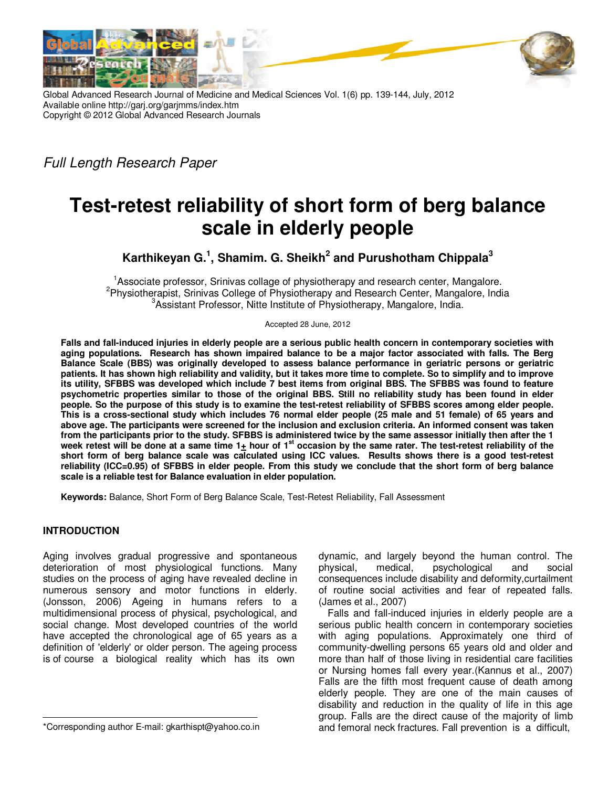

Global Advanced Research Journal of Medicine and Medical Sciences Vol. 1(6) pp. 139-144, July, 2012 Available online http://garj.org/garjmms/index.htm Copyright © 2012 Global Advanced Research Journals

Full Length Research Paper

# **Test-retest reliability of short form of berg balance scale in elderly people**

**Karthikeyan G.<sup>1</sup> , Shamim. G. Sheikh<sup>2</sup> and Purushotham Chippala<sup>3</sup>**

<sup>1</sup>Associate professor, Srinivas collage of physiotherapy and research center, Mangalore. <sup>2</sup>Physiotherapist, Srinivas College of Physiotherapy and Research Center, Mangalore, India <sup>3</sup>Assistant Professor, Nitte Institute of Physiotherapy, Mangalore, India.

Accepted 28 June, 2012

**Falls and fall-induced injuries in elderly people are a serious public health concern in contemporary societies with aging populations. Research has shown impaired balance to be a major factor associated with falls. The Berg Balance Scale (BBS) was originally developed to assess balance performance in geriatric persons or geriatric patients. It has shown high reliability and validity, but it takes more time to complete. So to simplify and to improve its utility, SFBBS was developed which include 7 best items from original BBS. The SFBBS was found to feature psychometric properties similar to those of the original BBS. Still no reliability study has been found in elder people. So the purpose of this study is to examine the test-retest reliability of SFBBS scores among elder people. This is a cross-sectional study which includes 76 normal elder people (25 male and 51 female) of 65 years and above age. The participants were screened for the inclusion and exclusion criteria. An informed consent was taken from the participants prior to the study. SFBBS is administered twice by the same assessor initially then after the 1 week retest will be done at a same time 1+ hour of 1st occasion by the same rater. The test-retest reliability of the short form of berg balance scale was calculated using ICC values. Results shows there is a good test-retest reliability (ICC=0.95) of SFBBS in elder people. From this study we conclude that the short form of berg balance scale is a reliable test for Balance evaluation in elder population.** 

**Keywords:** Balance, Short Form of Berg Balance Scale, Test-Retest Reliability, Fall Assessment

## **INTRODUCTION**

Aging involves gradual progressive and spontaneous deterioration of most physiological functions. Many studies on the process of aging have revealed decline in numerous sensory and motor functions in elderly. (Jonsson, 2006) Ageing in humans refers to a multidimensional process of physical, psychological, and social change. Most developed countries of the world have accepted the chronological age of 65 years as a definition of 'elderly' or older person. The ageing process is of course a biological reality which has its own

dynamic, and largely beyond the human control. The physical, medical, psychological and social consequences include disability and deformity,curtailment of routine social activities and fear of repeated falls. (James et al., 2007)

Falls and fall-induced injuries in elderly people are a serious public health concern in contemporary societies with aging populations. Approximately one third of community-dwelling persons 65 years old and older and more than half of those living in residential care facilities or Nursing homes fall every year.(Kannus et al., 2007) Falls are the fifth most frequent cause of death among elderly people. They are one of the main causes of disability and reduction in the quality of life in this age group. Falls are the direct cause of the majority of limb and femoral neck fractures. Fall prevention is a difficult,

<sup>\*</sup>Corresponding author E-mail: gkarthispt@yahoo.co.in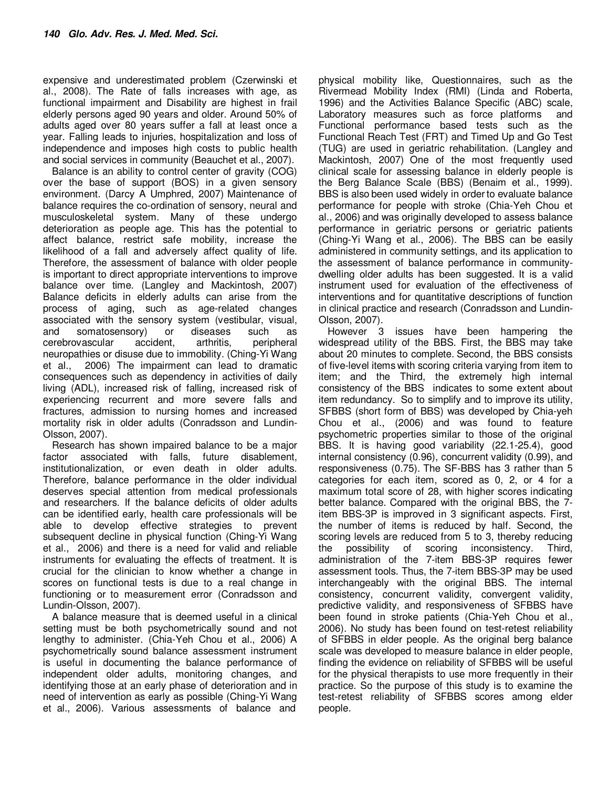expensive and underestimated problem (Czerwinski et al., 2008). The Rate of falls increases with age, as functional impairment and Disability are highest in frail elderly persons aged 90 years and older. Around 50% of adults aged over 80 years suffer a fall at least once a year. Falling leads to injuries, hospitalization and loss of independence and imposes high costs to public health and social services in community (Beauchet et al., 2007).

Balance is an ability to control center of gravity (COG) over the base of support (BOS) in a given sensory environment. (Darcy A Umphred, 2007) Maintenance of balance requires the co-ordination of sensory, neural and musculoskeletal system. Many of these undergo deterioration as people age. This has the potential to affect balance, restrict safe mobility, increase the likelihood of a fall and adversely affect quality of life. Therefore, the assessment of balance with older people is important to direct appropriate interventions to improve balance over time. (Langley and Mackintosh, 2007) Balance deficits in elderly adults can arise from the process of aging, such as age-related changes associated with the sensory system (vestibular, visual, and somatosensory) or diseases such as cerebrovascular accident, arthritis, peripheral neuropathies or disuse due to immobility. (Ching-Yi Wang et al., 2006) The impairment can lead to dramatic consequences such as dependency in activities of daily living (ADL), increased risk of falling, increased risk of experiencing recurrent and more severe falls and fractures, admission to nursing homes and increased mortality risk in older adults (Conradsson and Lundin-Olsson, 2007).

Research has shown impaired balance to be a major factor associated with falls, future disablement, institutionalization, or even death in older adults. Therefore, balance performance in the older individual deserves special attention from medical professionals and researchers. If the balance deficits of older adults can be identified early, health care professionals will be able to develop effective strategies to prevent subsequent decline in physical function (Ching-Yi Wang et al., 2006) and there is a need for valid and reliable instruments for evaluating the effects of treatment. It is crucial for the clinician to know whether a change in scores on functional tests is due to a real change in functioning or to measurement error (Conradsson and Lundin-Olsson, 2007).

A balance measure that is deemed useful in a clinical setting must be both psychometrically sound and not lengthy to administer. (Chia-Yeh Chou et al., 2006) A psychometrically sound balance assessment instrument is useful in documenting the balance performance of independent older adults, monitoring changes, and identifying those at an early phase of deterioration and in need of intervention as early as possible (Ching-Yi Wang et al., 2006). Various assessments of balance and

physical mobility like, Questionnaires, such as the Rivermead Mobility Index (RMI) (Linda and Roberta, 1996) and the Activities Balance Specific (ABC) scale, Laboratory measures such as force platforms and Functional performance based tests such as the Functional Reach Test (FRT) and Timed Up and Go Test (TUG) are used in geriatric rehabilitation. (Langley and Mackintosh, 2007) One of the most frequently used clinical scale for assessing balance in elderly people is the Berg Balance Scale (BBS) (Benaim et al., 1999). BBS is also been used widely in order to evaluate balance performance for people with stroke (Chia-Yeh Chou et al., 2006) and was originally developed to assess balance performance in geriatric persons or geriatric patients (Ching-Yi Wang et al., 2006). The BBS can be easily administered in community settings, and its application to the assessment of balance performance in communitydwelling older adults has been suggested. It is a valid instrument used for evaluation of the effectiveness of interventions and for quantitative descriptions of function in clinical practice and research (Conradsson and Lundin-Olsson, 2007).

However 3 issues have been hampering the widespread utility of the BBS. First, the BBS may take about 20 minutes to complete. Second, the BBS consists of five-level items with scoring criteria varying from item to item; and the Third, the extremely high internal consistency of the BBS indicates to some extent about item redundancy. So to simplify and to improve its utility, SFBBS (short form of BBS) was developed by Chia-yeh Chou et al., (2006) and was found to feature psychometric properties similar to those of the original BBS. It is having good variability (22.1-25.4), good internal consistency (0.96), concurrent validity (0.99), and responsiveness (0.75). The SF-BBS has 3 rather than 5 categories for each item, scored as 0, 2, or 4 for a maximum total score of 28, with higher scores indicating better balance. Compared with the original BBS, the 7 item BBS-3P is improved in 3 significant aspects. First, the number of items is reduced by half. Second, the scoring levels are reduced from 5 to 3, thereby reducing<br>the possibility of scoring inconsistency. Third. the possibility of scoring inconsistency. Third, administration of the 7-item BBS-3P requires fewer assessment tools. Thus, the 7-item BBS-3P may be used interchangeably with the original BBS. The internal consistency, concurrent validity, convergent validity, predictive validity, and responsiveness of SFBBS have been found in stroke patients (Chia-Yeh Chou et al., 2006). No study has been found on test-retest reliability of SFBBS in elder people. As the original berg balance scale was developed to measure balance in elder people, finding the evidence on reliability of SFBBS will be useful for the physical therapists to use more frequently in their practice. So the purpose of this study is to examine the test-retest reliability of SFBBS scores among elder people.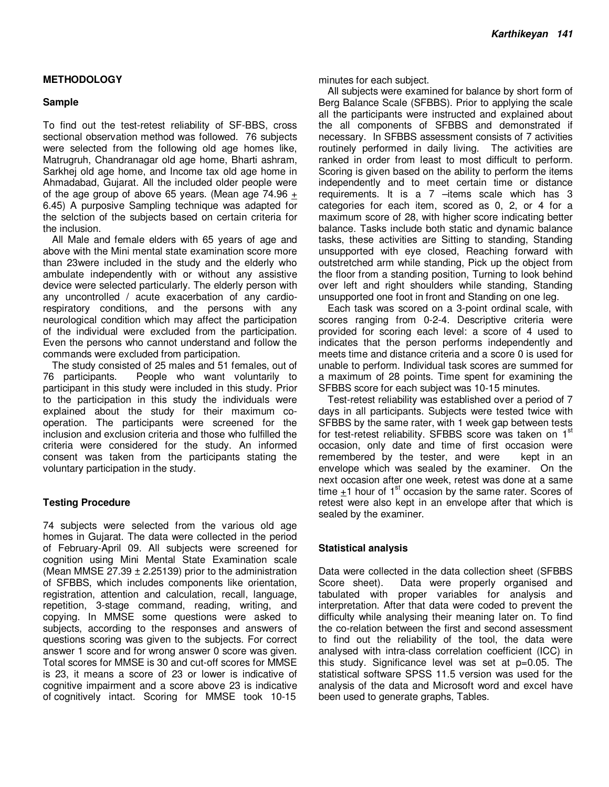## **METHODOLOGY**

### **Sample**

To find out the test-retest reliability of SF-BBS, cross sectional observation method was followed. 76 subjects were selected from the following old age homes like, Matrugruh, Chandranagar old age home, Bharti ashram, Sarkhej old age home, and Income tax old age home in Ahmadabad, Gujarat. All the included older people were of the age group of above 65 years. (Mean age  $74.96 +$ 6.45) A purposive Sampling technique was adapted for the selction of the subjects based on certain criteria for the inclusion.

All Male and female elders with 65 years of age and above with the Mini mental state examination score more than 23were included in the study and the elderly who ambulate independently with or without any assistive device were selected particularly. The elderly person with any uncontrolled / acute exacerbation of any cardiorespiratory conditions, and the persons with any neurological condition which may affect the participation of the individual were excluded from the participation. Even the persons who cannot understand and follow the commands were excluded from participation.

The study consisted of 25 males and 51 females, out of 76 participants. People who want voluntarily to participant in this study were included in this study. Prior to the participation in this study the individuals were explained about the study for their maximum cooperation. The participants were screened for the inclusion and exclusion criteria and those who fulfilled the criteria were considered for the study. An informed consent was taken from the participants stating the voluntary participation in the study.

## **Testing Procedure**

74 subjects were selected from the various old age homes in Gujarat. The data were collected in the period of February-April 09. All subjects were screened for cognition using Mini Mental State Examination scale (Mean MMSE 27.39  $\pm$  2.25139) prior to the administration of SFBBS, which includes components like orientation, registration, attention and calculation, recall, language, repetition, 3-stage command, reading, writing, and copying. In MMSE some questions were asked to subjects, according to the responses and answers of questions scoring was given to the subjects. For correct answer 1 score and for wrong answer 0 score was given. Total scores for MMSE is 30 and cut-off scores for MMSE is 23, it means a score of 23 or lower is indicative of cognitive impairment and a score above 23 is indicative of cognitively intact. Scoring for MMSE took 10-15

minutes for each subject.

All subjects were examined for balance by short form of Berg Balance Scale (SFBBS). Prior to applying the scale all the participants were instructed and explained about the all components of SFBBS and demonstrated if necessary. In SFBBS assessment consists of 7 activities routinely performed in daily living. The activities are ranked in order from least to most difficult to perform. Scoring is given based on the ability to perform the items independently and to meet certain time or distance requirements. It is a 7 –items scale which has 3 categories for each item, scored as 0, 2, or 4 for a maximum score of 28, with higher score indicating better balance. Tasks include both static and dynamic balance tasks, these activities are Sitting to standing, Standing unsupported with eye closed, Reaching forward with outstretched arm while standing, Pick up the object from the floor from a standing position, Turning to look behind over left and right shoulders while standing, Standing unsupported one foot in front and Standing on one leg.

Each task was scored on a 3-point ordinal scale, with scores ranging from 0-2-4. Descriptive criteria were provided for scoring each level: a score of 4 used to indicates that the person performs independently and meets time and distance criteria and a score 0 is used for unable to perform. Individual task scores are summed for a maximum of 28 points. Time spent for examining the SFBBS score for each subject was 10-15 minutes.

Test-retest reliability was established over a period of 7 days in all participants. Subjects were tested twice with SFBBS by the same rater, with 1 week gap between tests for test-retest reliability. SFBBS score was taken on 1st occasion, only date and time of first occasion were remembered by the tester, and were kept in an envelope which was sealed by the examiner. On the next occasion after one week, retest was done at a same time  $\pm$ 1 hour of 1<sup>st</sup> occasion by the same rater. Scores of retest were also kept in an envelope after that which is sealed by the examiner.

#### **Statistical analysis**

Data were collected in the data collection sheet (SFBBS Score sheet). Data were properly organised and tabulated with proper variables for analysis and interpretation. After that data were coded to prevent the difficulty while analysing their meaning later on. To find the co-relation between the first and second assessment to find out the reliability of the tool, the data were analysed with intra-class correlation coefficient (ICC) in this study. Significance level was set at p=0.05. The statistical software SPSS 11.5 version was used for the analysis of the data and Microsoft word and excel have been used to generate graphs, Tables.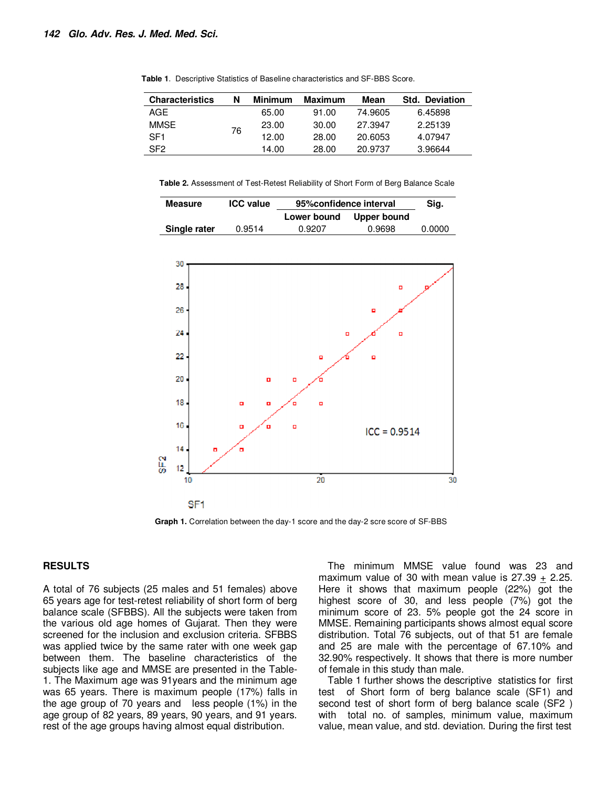| <b>Characteristics</b> | N  | Minimum | Maximum | Mean    | Std. Deviation |
|------------------------|----|---------|---------|---------|----------------|
| AGF                    | 76 | 65.00   | 91.00   | 74.9605 | 6.45898        |
| MMSE                   |    | 23.00   | 30.00   | 27.3947 | 2.25139        |
| SF <sub>1</sub>        |    | 12.00   | 28.00   | 20.6053 | 4.07947        |
| SF <sub>2</sub>        |    | 14.00   | 28.00   | 20.9737 | 3.96644        |

**Table 1**. Descriptive Statistics of Baseline characteristics and SF-BBS Score.

**Table 2.** Assessment of Test-Retest Reliability of Short Form of Berg Balance Scale

| <b>Measure</b> | <b>ICC</b> value | 95% confidence interval | Sig.        |        |
|----------------|------------------|-------------------------|-------------|--------|
|                |                  | Lower bound             | Upper bound |        |
| Single rater   | 0.9514           | 0.9207                  | 0.9698      | 0.0000 |



**Graph 1.** Correlation between the day-1 score and the day-2 scre score of SF-BBS

#### **RESULTS**

A total of 76 subjects (25 males and 51 females) above 65 years age for test-retest reliability of short form of berg balance scale (SFBBS). All the subjects were taken from the various old age homes of Gujarat. Then they were screened for the inclusion and exclusion criteria. SFBBS was applied twice by the same rater with one week gap between them. The baseline characteristics of the subjects like age and MMSE are presented in the Table-1. The Maximum age was 91years and the minimum age was 65 years. There is maximum people (17%) falls in the age group of 70 years and less people (1%) in the age group of 82 years, 89 years, 90 years, and 91 years. rest of the age groups having almost equal distribution.

The minimum MMSE value found was 23 and maximum value of 30 with mean value is  $27.39 + 2.25$ . Here it shows that maximum people (22%) got the highest score of 30, and less people (7%) got the minimum score of 23. 5% people got the 24 score in MMSE. Remaining participants shows almost equal score distribution. Total 76 subjects, out of that 51 are female and 25 are male with the percentage of 67.10% and 32.90% respectively. It shows that there is more number of female in this study than male.

Table 1 further shows the descriptive statistics for first test of Short form of berg balance scale (SF1) and second test of short form of berg balance scale (SF2 ) with total no. of samples, minimum value, maximum value, mean value, and std. deviation. During the first test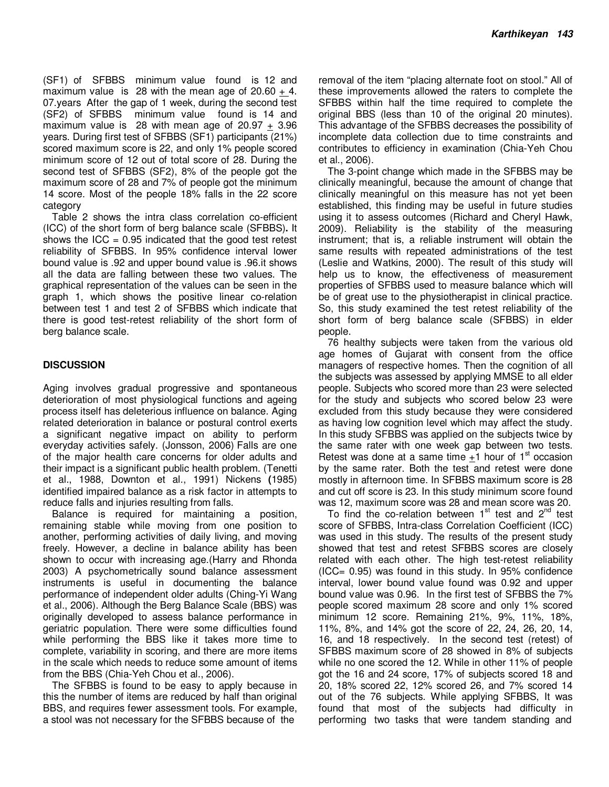(SF1) of SFBBS minimum value found is 12 and maximum value is 28 with the mean age of  $20.60 + 4$ . 07.years After the gap of 1 week, during the second test (SF2) of SFBBS minimum value found is 14 and maximum value is 28 with mean age of 20.97  $\pm$  3.96 years. During first test of SFBBS (SF1) participants (21%) scored maximum score is 22, and only 1% people scored minimum score of 12 out of total score of 28. During the second test of SFBBS (SF2), 8% of the people got the maximum score of 28 and 7% of people got the minimum 14 score. Most of the people 18% falls in the 22 score category

Table 2 shows the intra class correlation co-efficient (ICC) of the short form of berg balance scale (SFBBS)**.** It shows the ICC =  $0.95$  indicated that the good test retest reliability of SFBBS. In 95% confidence interval lower bound value is .92 and upper bound value is .96.it shows all the data are falling between these two values. The graphical representation of the values can be seen in the graph 1, which shows the positive linear co-relation between test 1 and test 2 of SFBBS which indicate that there is good test-retest reliability of the short form of berg balance scale.

## **DISCUSSION**

Aging involves gradual progressive and spontaneous deterioration of most physiological functions and ageing process itself has deleterious influence on balance. Aging related deterioration in balance or postural control exerts a significant negative impact on ability to perform everyday activities safely. (Jonsson, 2006) Falls are one of the major health care concerns for older adults and their impact is a significant public health problem. (Tenetti et al., 1988, Downton et al., 1991) Nickens **(**1985) identified impaired balance as a risk factor in attempts to reduce falls and injuries resulting from falls.

Balance is required for maintaining a position, remaining stable while moving from one position to another, performing activities of daily living, and moving freely. However, a decline in balance ability has been shown to occur with increasing age.(Harry and Rhonda 2003) A psychometrically sound balance assessment instruments is useful in documenting the balance performance of independent older adults (Ching-Yi Wang et al., 2006). Although the Berg Balance Scale (BBS) was originally developed to assess balance performance in geriatric population. There were some difficulties found while performing the BBS like it takes more time to complete, variability in scoring, and there are more items in the scale which needs to reduce some amount of items from the BBS (Chia-Yeh Chou et al., 2006).

The SFBBS is found to be easy to apply because in this the number of items are reduced by half than original BBS, and requires fewer assessment tools. For example, a stool was not necessary for the SFBBS because of the

removal of the item "placing alternate foot on stool." All of these improvements allowed the raters to complete the SFBBS within half the time required to complete the original BBS (less than 10 of the original 20 minutes). This advantage of the SFBBS decreases the possibility of incomplete data collection due to time constraints and contributes to efficiency in examination (Chia-Yeh Chou et al., 2006).

The 3-point change which made in the SFBBS may be clinically meaningful, because the amount of change that clinically meaningful on this measure has not yet been established, this finding may be useful in future studies using it to assess outcomes (Richard and Cheryl Hawk, 2009). Reliability is the stability of the measuring instrument; that is, a reliable instrument will obtain the same results with repeated administrations of the test (Leslie and Watkins, 2000). The result of this study will help us to know, the effectiveness of measurement properties of SFBBS used to measure balance which will be of great use to the physiotherapist in clinical practice. So, this study examined the test retest reliability of the short form of berg balance scale (SFBBS) in elder people.

76 healthy subjects were taken from the various old age homes of Gujarat with consent from the office managers of respective homes. Then the cognition of all the subjects was assessed by applying MMSE to all elder people. Subjects who scored more than 23 were selected for the study and subjects who scored below 23 were excluded from this study because they were considered as having low cognition level which may affect the study. In this study SFBBS was applied on the subjects twice by the same rater with one week gap between two tests. Retest was done at a same time  $+1$  hour of  $1<sup>st</sup>$  occasion by the same rater. Both the test and retest were done mostly in afternoon time. In SFBBS maximum score is 28 and cut off score is 23. In this study minimum score found was 12, maximum score was 28 and mean score was 20.

To find the co-relation between  $1<sup>st</sup>$  test and  $2<sup>nd</sup>$  test score of SFBBS, Intra-class Correlation Coefficient (ICC) was used in this study. The results of the present study showed that test and retest SFBBS scores are closely related with each other. The high test-retest reliability  $(ICC = 0.95)$  was found in this study. In 95% confidence interval, lower bound value found was 0.92 and upper bound value was 0.96. In the first test of SFBBS the 7% people scored maximum 28 score and only 1% scored minimum 12 score. Remaining 21%, 9%, 11%, 18%, 11%, 8%, and 14% got the score of 22, 24, 26, 20, 14, 16, and 18 respectively. In the second test (retest) of SFBBS maximum score of 28 showed in 8% of subjects while no one scored the 12. While in other 11% of people got the 16 and 24 score, 17% of subjects scored 18 and 20, 18% scored 22, 12% scored 26, and 7% scored 14 out of the 76 subjects. While applying SFBBS, It was found that most of the subjects had difficulty in performing two tasks that were tandem standing and